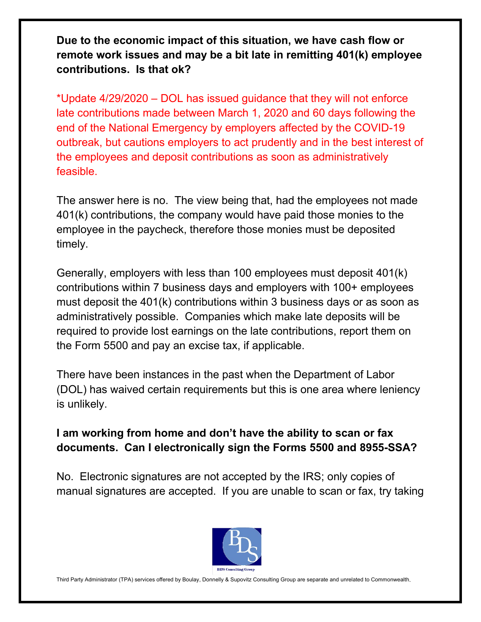**Due to the economic impact of this situation, we have cash flow or remote work issues and may be a bit late in remitting 401(k) employee contributions. Is that ok?**

\*Update 4/29/2020 – DOL has issued guidance that they will not enforce late contributions made between March 1, 2020 and 60 days following the end of the National Emergency by employers affected by the COVID-19 outbreak, but cautions employers to act prudently and in the best interest of the employees and deposit contributions as soon as administratively feasible.

The answer here is no. The view being that, had the employees not made 401(k) contributions, the company would have paid those monies to the employee in the paycheck, therefore those monies must be deposited timely.

Generally, employers with less than 100 employees must deposit 401(k) contributions within 7 business days and employers with 100+ employees must deposit the 401(k) contributions within 3 business days or as soon as administratively possible. Companies which make late deposits will be required to provide lost earnings on the late contributions, report them on the Form 5500 and pay an excise tax, if applicable.

There have been instances in the past when the Department of Labor (DOL) has waived certain requirements but this is one area where leniency is unlikely.

#### **I am working from home and don't have the ability to scan or fax documents. Can I electronically sign the Forms 5500 and 8955-SSA?**

No. Electronic signatures are not accepted by the IRS; only copies of manual signatures are accepted. If you are unable to scan or fax, try taking



Third Party Administrator (TPA) services offered by Boulay, Donnelly & Supovitz Consulting Group are separate and unrelated to Commonwealth.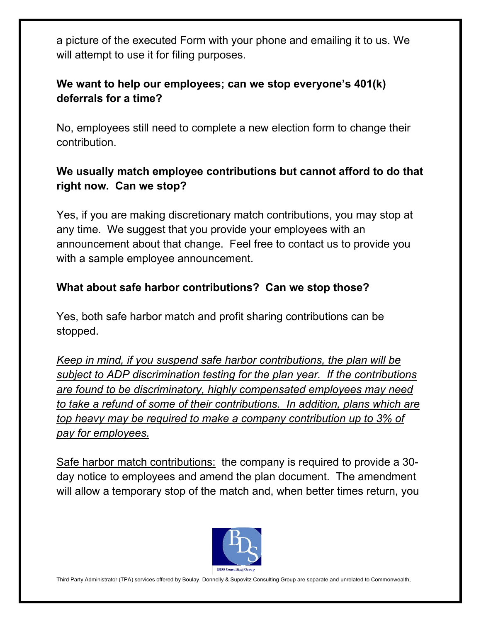a picture of the executed Form with your phone and emailing it to us. We will attempt to use it for filing purposes.

## **We want to help our employees; can we stop everyone's 401(k) deferrals for a time?**

No, employees still need to complete a new election form to change their contribution.

# **We usually match employee contributions but cannot afford to do that right now. Can we stop?**

Yes, if you are making discretionary match contributions, you may stop at any time. We suggest that you provide your employees with an announcement about that change. Feel free to contact us to provide you with a sample employee announcement.

## **What about safe harbor contributions? Can we stop those?**

Yes, both safe harbor match and profit sharing contributions can be stopped.

*Keep in mind, if you suspend safe harbor contributions, the plan will be subject to ADP discrimination testing for the plan year. If the contributions are found to be discriminatory, highly compensated employees may need to take a refund of some of their contributions. In addition, plans which are top heavy may be required to make a company contribution up to 3% of pay for employees.*

Safe harbor match contributions: the company is required to provide a 30 day notice to employees and amend the plan document. The amendment will allow a temporary stop of the match and, when better times return, you



Third Party Administrator (TPA) services offered by Boulay, Donnelly & Supovitz Consulting Group are separate and unrelated to Commonwealth.